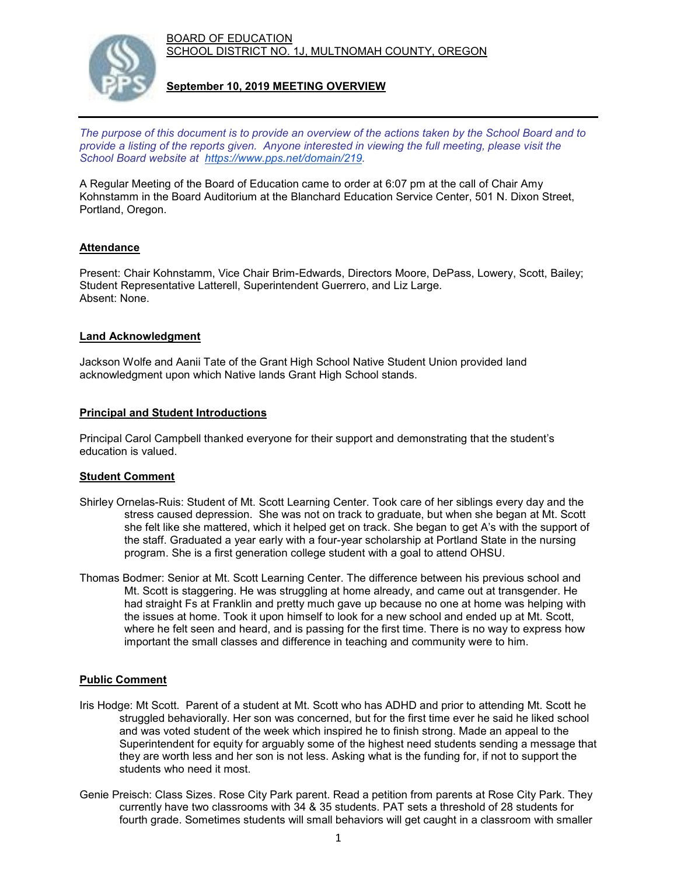BOARD OF EDUCATION SCHOOL DISTRICT NO. 1J, MULTNOMAH COUNTY, OREGON



**September 10, 2019 MEETING OVERVIEW**

*The purpose of this document is to provide an overview of the actions taken by the School Board and to provide a listing of the reports given. Anyone interested in viewing the full meeting, please visit the School Board website at [https://www.pps.net/domain/219.](https://www.pps.net/domain/219)*

A Regular Meeting of the Board of Education came to order at 6:07 pm at the call of Chair Amy Kohnstamm in the Board Auditorium at the Blanchard Education Service Center, 501 N. Dixon Street, Portland, Oregon.

# **Attendance**

Present: Chair Kohnstamm, Vice Chair Brim-Edwards, Directors Moore, DePass, Lowery, Scott, Bailey; Student Representative Latterell, Superintendent Guerrero, and Liz Large. Absent: None.

# **Land Acknowledgment**

Jackson Wolfe and Aanii Tate of the Grant High School Native Student Union provided land acknowledgment upon which Native lands Grant High School stands.

#### **Principal and Student Introductions**

Principal Carol Campbell thanked everyone for their support and demonstrating that the student's education is valued.

# **Student Comment**

- Shirley Ornelas-Ruis: Student of Mt. Scott Learning Center. Took care of her siblings every day and the stress caused depression. She was not on track to graduate, but when she began at Mt. Scott she felt like she mattered, which it helped get on track. She began to get A's with the support of the staff. Graduated a year early with a four-year scholarship at Portland State in the nursing program. She is a first generation college student with a goal to attend OHSU.
- Thomas Bodmer: Senior at Mt. Scott Learning Center. The difference between his previous school and Mt. Scott is staggering. He was struggling at home already, and came out at transgender. He had straight Fs at Franklin and pretty much gave up because no one at home was helping with the issues at home. Took it upon himself to look for a new school and ended up at Mt. Scott, where he felt seen and heard, and is passing for the first time. There is no way to express how important the small classes and difference in teaching and community were to him.

# **Public Comment**

- Iris Hodge: Mt Scott. Parent of a student at Mt. Scott who has ADHD and prior to attending Mt. Scott he struggled behaviorally. Her son was concerned, but for the first time ever he said he liked school and was voted student of the week which inspired he to finish strong. Made an appeal to the Superintendent for equity for arguably some of the highest need students sending a message that they are worth less and her son is not less. Asking what is the funding for, if not to support the students who need it most.
- Genie Preisch: Class Sizes. Rose City Park parent. Read a petition from parents at Rose City Park. They currently have two classrooms with 34 & 35 students. PAT sets a threshold of 28 students for fourth grade. Sometimes students will small behaviors will get caught in a classroom with smaller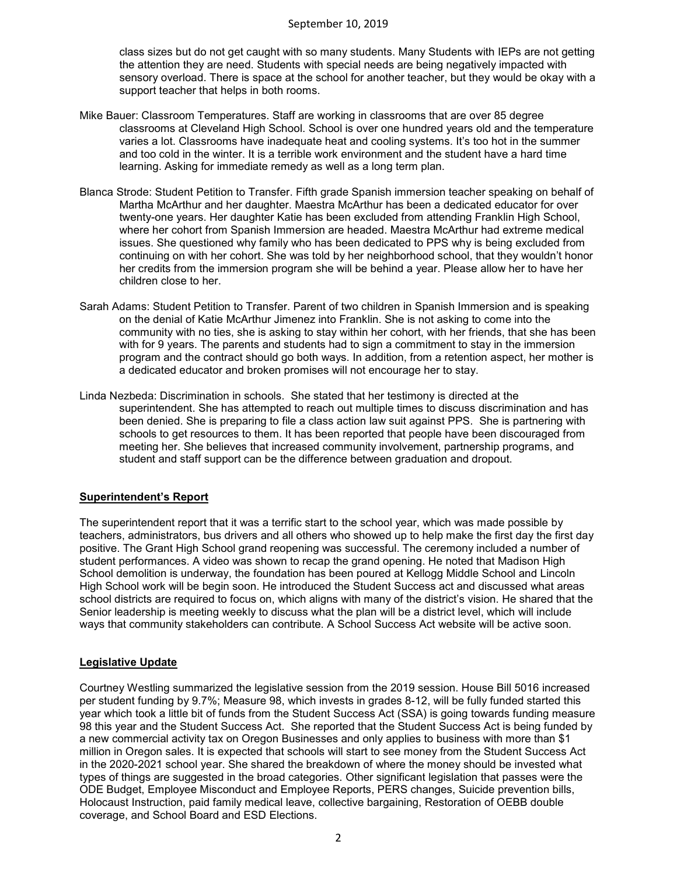class sizes but do not get caught with so many students. Many Students with IEPs are not getting the attention they are need. Students with special needs are being negatively impacted with sensory overload. There is space at the school for another teacher, but they would be okay with a support teacher that helps in both rooms.

- Mike Bauer: Classroom Temperatures. Staff are working in classrooms that are over 85 degree classrooms at Cleveland High School. School is over one hundred years old and the temperature varies a lot. Classrooms have inadequate heat and cooling systems. It's too hot in the summer and too cold in the winter. It is a terrible work environment and the student have a hard time learning. Asking for immediate remedy as well as a long term plan.
- Blanca Strode: Student Petition to Transfer. Fifth grade Spanish immersion teacher speaking on behalf of Martha McArthur and her daughter. Maestra McArthur has been a dedicated educator for over twenty-one years. Her daughter Katie has been excluded from attending Franklin High School, where her cohort from Spanish Immersion are headed. Maestra McArthur had extreme medical issues. She questioned why family who has been dedicated to PPS why is being excluded from continuing on with her cohort. She was told by her neighborhood school, that they wouldn't honor her credits from the immersion program she will be behind a year. Please allow her to have her children close to her.
- Sarah Adams: Student Petition to Transfer. Parent of two children in Spanish Immersion and is speaking on the denial of Katie McArthur Jimenez into Franklin. She is not asking to come into the community with no ties, she is asking to stay within her cohort, with her friends, that she has been with for 9 years. The parents and students had to sign a commitment to stay in the immersion program and the contract should go both ways. In addition, from a retention aspect, her mother is a dedicated educator and broken promises will not encourage her to stay.
- Linda Nezbeda: Discrimination in schools. She stated that her testimony is directed at the superintendent. She has attempted to reach out multiple times to discuss discrimination and has been denied. She is preparing to file a class action law suit against PPS. She is partnering with schools to get resources to them. It has been reported that people have been discouraged from meeting her. She believes that increased community involvement, partnership programs, and student and staff support can be the difference between graduation and dropout.

# **Superintendent's Report**

The superintendent report that it was a terrific start to the school year, which was made possible by teachers, administrators, bus drivers and all others who showed up to help make the first day the first day positive. The Grant High School grand reopening was successful. The ceremony included a number of student performances. A video was shown to recap the grand opening. He noted that Madison High School demolition is underway, the foundation has been poured at Kellogg Middle School and Lincoln High School work will be begin soon. He introduced the Student Success act and discussed what areas school districts are required to focus on, which aligns with many of the district's vision. He shared that the Senior leadership is meeting weekly to discuss what the plan will be a district level, which will include ways that community stakeholders can contribute. A School Success Act website will be active soon.

# **Legislative Update**

Courtney Westling summarized the legislative session from the 2019 session. House Bill 5016 increased per student funding by 9.7%; Measure 98, which invests in grades 8-12, will be fully funded started this year which took a little bit of funds from the Student Success Act (SSA) is going towards funding measure 98 this year and the Student Success Act. She reported that the Student Success Act is being funded by a new commercial activity tax on Oregon Businesses and only applies to business with more than \$1 million in Oregon sales. It is expected that schools will start to see money from the Student Success Act in the 2020-2021 school year. She shared the breakdown of where the money should be invested what types of things are suggested in the broad categories. Other significant legislation that passes were the ODE Budget, Employee Misconduct and Employee Reports, PERS changes, Suicide prevention bills, Holocaust Instruction, paid family medical leave, collective bargaining, Restoration of OEBB double coverage, and School Board and ESD Elections.